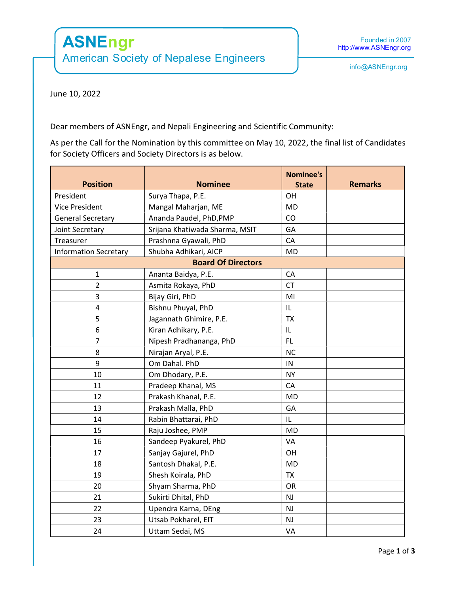## ASNEngr

American Society of Nepalese Engineers

June 10, 2022

Dear members of ASNEngr, and Nepali Engineering and Scientific Community:

As per the Call for the Nomination by this committee on May 10, 2022, the final list of Candidates for Society Officers and Society Directors is as below.

| <b>Position</b>              | <b>Nominee</b>                 | <b>Nominee's</b><br><b>State</b> | <b>Remarks</b> |  |  |  |
|------------------------------|--------------------------------|----------------------------------|----------------|--|--|--|
| President                    | Surya Thapa, P.E.              | OH                               |                |  |  |  |
| <b>Vice President</b>        | Mangal Maharjan, ME            | <b>MD</b>                        |                |  |  |  |
| <b>General Secretary</b>     | Ananda Paudel, PhD, PMP        | CO                               |                |  |  |  |
| Joint Secretary              | Srijana Khatiwada Sharma, MSIT | GA                               |                |  |  |  |
| Treasurer                    | Prashnna Gyawali, PhD          | CA                               |                |  |  |  |
| <b>Information Secretary</b> | Shubha Adhikari, AICP          | <b>MD</b>                        |                |  |  |  |
| <b>Board Of Directors</b>    |                                |                                  |                |  |  |  |
| $\mathbf{1}$                 | Ananta Baidya, P.E.            | CA                               |                |  |  |  |
| $\overline{2}$               | Asmita Rokaya, PhD             | <b>CT</b>                        |                |  |  |  |
| 3                            | Bijay Giri, PhD                | MI                               |                |  |  |  |
| $\pmb{4}$                    | Bishnu Phuyal, PhD             | IL                               |                |  |  |  |
| 5                            | Jagannath Ghimire, P.E.        | <b>TX</b>                        |                |  |  |  |
| 6                            | Kiran Adhikary, P.E.           | IL                               |                |  |  |  |
| $\overline{7}$               | Nipesh Pradhananga, PhD        | <b>FL</b>                        |                |  |  |  |
| 8                            | Nirajan Aryal, P.E.            | <b>NC</b>                        |                |  |  |  |
| 9                            | Om Dahal. PhD                  | IN                               |                |  |  |  |
| 10                           | Om Dhodary, P.E.               | <b>NY</b>                        |                |  |  |  |
| 11                           | Pradeep Khanal, MS             | CA                               |                |  |  |  |
| 12                           | Prakash Khanal, P.E.           | <b>MD</b>                        |                |  |  |  |
| 13                           | Prakash Malla, PhD             | GA                               |                |  |  |  |
| 14                           | Rabin Bhattarai, PhD           | IL                               |                |  |  |  |
| 15                           | Raju Joshee, PMP               | MD                               |                |  |  |  |
| 16                           | Sandeep Pyakurel, PhD          | VA                               |                |  |  |  |
| 17                           | Sanjay Gajurel, PhD            | OH                               |                |  |  |  |
| 18                           | Santosh Dhakal, P.E.           | <b>MD</b>                        |                |  |  |  |
| 19                           | Shesh Koirala, PhD             | <b>TX</b>                        |                |  |  |  |
| 20                           | Shyam Sharma, PhD              | OR                               |                |  |  |  |
| 21                           | Sukirti Dhital, PhD            | NJ                               |                |  |  |  |
| 22                           | Upendra Karna, DEng            | NJ                               |                |  |  |  |
| 23                           | Utsab Pokharel, EIT            | NJ                               |                |  |  |  |
| 24                           | Uttam Sedai, MS                | VA                               |                |  |  |  |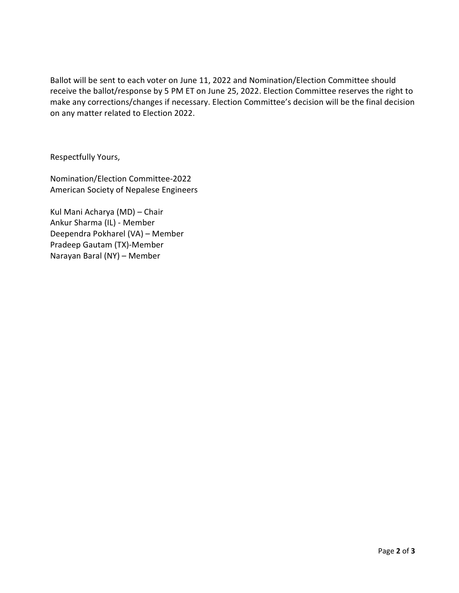Ballot will be sent to each voter on June 11, 2022 and Nomination/Election Committee should receive the ballot/response by 5 PM ET on June 25, 2022. Election Committee reserves the right to make any corrections/changes if necessary. Election Committee's decision will be the final decision on any matter related to Election 2022.

Respectfully Yours,

Nomination/Election Committee-2022 American Society of Nepalese Engineers

Kul Mani Acharya (MD) – Chair Ankur Sharma (IL) - Member Deependra Pokharel (VA) – Member Pradeep Gautam (TX)-Member Narayan Baral (NY) – Member